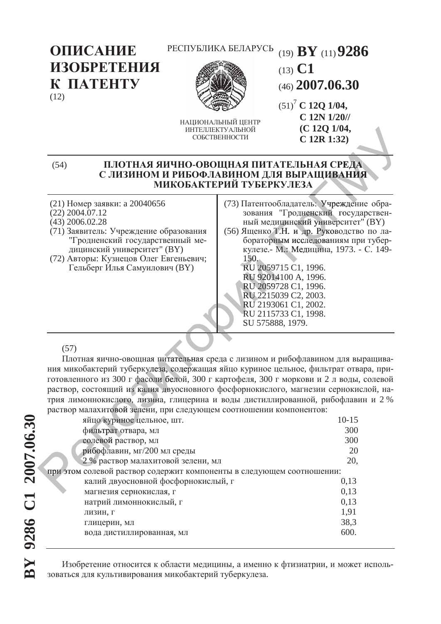РЕСПУБЛИКА БЕЛАРУСЬ (19) **BY** (11)**9286**

ОПИСАНИЕ ИЗОБРЕТЕНИЯ K **TATEHTY** (12)



НАШИОНАЛЬНЫЙ ШЕНТР ИНТЕЛЛЕКТУАЛЬНОЙ СОБСТВЕННОСТИ

(46) **2007.06.30** (51)7  **C 12Q 1/04, C 12N 1/20// (C 12Q 1/04, C 12R 1:32)**

(13) **C1** 

## (54) ПЛОТНАЯ ЯИЧНО-ОВОЩНАЯ ПИТАТЕЛЬНАЯ СРЕДА С ЛИЗИНОМ И РИБОФЛАВИНОМ ДЛЯ ВЫРАЩИВАНИЯ МИКОБАКТЕРИЙ ТУБЕРКУЛЕЗА СРЕДА<br>ИВАНИЯ ИВАНИЯ 1.32)<br>
СРЕДА<br>
ИВАНИЯ<br>
Чреждение обра-

- (21) Номер заявки: а 20040656
- (22) 2004.07.12
- (43) 2006.02.28 (71) Заявитель: Учреждение образования "Гродненский государственный ме-
- дицинский университет" (ВҮ) (72) Авторы: Кузнецов Олег Евгеньевич; Гельберг Илья Самуилович (ВҮ)
- (73) Патентообладатель: Учреждение обра-ГУБЕРКУЛЕЗА<br>Патентообладатель: Учреждение обра-<br>зования "Гродненский государствен-<br>ный медицинский университет" (ВҮ) ный медицинский университет" (ВҮ)
- (56) Ященко Т.Н. и др. Руководство по лабораторным исследованиям при туберкулезе.- М.: Медицина, 1973. - С. 149-150. едицинский<br>о Т.Н. и др<br>ррным иссле<br>..- М.: Меди юдненский<br>нский униве<br>и др. Рукон<br>исследовани<br>Медицина,

RU 2059715 C1, 1996. RU 92014100 A, 1996. 92014 RU 2059728 C1, 1996. RU U 2059 RU 2215039 C2, 2003. 2 22 RU 2193061 C1, 2002. RU 2115733 C1, 1998. R SU 575888, 1979. S ɨɪɢ 150.<br>RU 20597<br>RU 92014<br>RU 20597 2059715

## (57)

Плотная яично-овощная питательная среда с лизином и рибофлавином для выращивания микобактерий туберкулеза, содержащая яйцо куриное цельное, фильтрат отвара, приготовленного из 300 г фасоли белой, 300 г картофеля, 300 г моркови и 2 л воды, солевой раствор, состоящий из калия двуосновного фосфорнокислого, магнезии сернокислой, натрия лимоннокислого, лизина, глицерина и воды дистиллированной, рибофлавин и 2 %<br>раствор малахитовой зелени, при следующем соотношении компонентов:<br>ийцо куриное цельное, шт.<br>при при следующем соотношении компонентов:<br>300 раствор малахитовой зелени, при следующем соотношении компонентов: г фасоли<br>из калия<br>о, лизина<br>i зелени лизина ая питате<br>улеза, со,<br>соли беле<br>лия двуо ая питательна<br>улеза, содерж

| яйцо куриное цельное, шт.                                             | $10-15$ |  |
|-----------------------------------------------------------------------|---------|--|
| фильтрат отвара, мл                                                   | 300     |  |
| солевой раствор, мл                                                   | 300     |  |
| рибофлавин, мг/200 мл среды                                           | 20      |  |
| 2 % раствор малахитовой зелени, мл                                    | 20,     |  |
| при этом солевой раствор содержит компоненты в следующем соотношении: |         |  |
| калий двуосновной фосфорнокислый, г                                   | 0,13    |  |
| магнезия сернокислая, г                                               | 0,13    |  |
| натрий лимоннокислый, г                                               | 0,13    |  |
| ЛИЗИН, Г                                                              | 1,91    |  |
| глицерин, мл                                                          | 38,3    |  |
| вода дистиллированная, мл                                             | 600.    |  |
|                                                                       |         |  |

Изобретение относится к области медицины, а именно к фтизиатрии, и может использоваться для культивирования микобактерий туберкулеза.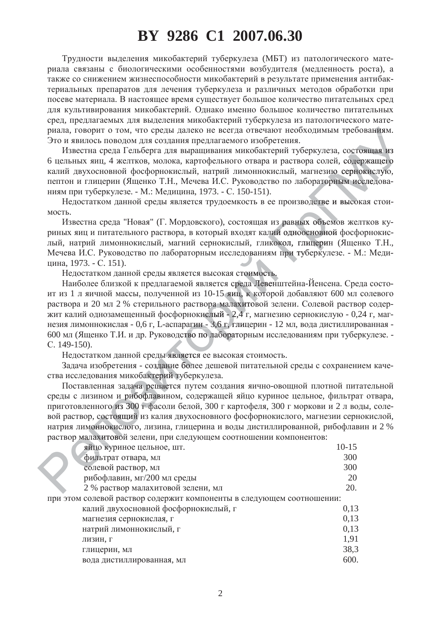## **BY 9286 C1 2007.06.30**

Трудности выделения микобактерий туберкулеза (МБТ) из патологического материала связаны с биологическими особенностями возбудителя (медленность роста), а также со снижением жизнеспособности микобактерий в результате применения антибактериальных препаратов для лечения туберкулеза и различных методов обработки при посеве материала. В настоящее время существует большое количество питательных сред для культивирования микобактерий. Однако именно большое количество питательных сред, предлагаемых для выделения микобактерий туберкулеза из патологического материала, говорит о том, что среды далеко не всегда отвечают необходимым требованиям. Это и явилось поводом для создания предлагаемого изобретения.

Известна среда Гельберга для выращивания микобактерий туберкулеза, состоящая из 6 цельных яиц, 4 желтков, молока, картофельного отвара и раствора солей, содержащего<br>калий двухосновной фосфорнокислый, натрий лимоннокислый, магнезию сернокислую, калий двухосновной фосфорнокислый, натрий лимоннокислый, магнезию сернокислую, пептон и глицерин (Ященко Т.Н., Мечева И.С. Руководство по лабораторным исследованиям при туберкулезе. - М.: Медицина, 1973. - С. 150-151). еза, состояща<br>пей, содержанию сернокисл<br>ррным исслед<br>е и высокая с рным исслед бованиям.<br>тоящая из<br>цержащего<br>нокислую, тоящая

Недостатком данной среды является трудоемкость в ее производстве и высокая стоимость. ораторным<br>одстве и вы<br>< объемов дстве и высо

Известна среда "Новая" (Г. Мордовского), состоящая из равных объемов желтков куриных яиц и питательного раствора, в который входят калий одноосновной фосфорнокислый, натрий лимоннокислый, магний сернокислый, гликокол, глицерин (Ященко Т.Н., Мечева И.С. Руководство по лабораторным исследованиям при туберкулезе. - М.: Медицина, 1973. - С. 151). едованиям<br>стоимость<br>реда Левен из равных<br>лий одноос<br>икокол, гли<br>ям при туб лий одно ных объем<br>ноосновной<br>глицерин **оосновной** 

Недостатком данной среды является высокая стоимость.

Наиболее близкой к предлагаемой является среда Левенштейна-Йенсена. Среда состоит из 1 л яичной массы, полученной из 10-15 яиц, к которой добавляют 600 мл солевого раствора и 20 мл 2 % стерильного раствора малахитовой зелени. Солевой раствор содержит калий однозамещенный фосфорнокислый - 2,4 г, магнезию сернокислую - 0,24 г, магнезия лимоннокислая - 0,6 г, L-аспарагин - 3,6 г, глицерин - 12 мл, вода дистиллированная - 600 мл (Ященко Т.И. и др. Руководство по лабораторным исследованиям при туберкулезе. - С. 149-150).<br>
С. 149-150). Нелостатком лан 600 мл (Ященко Т.И. и др. Руководство по лабораторным исследованиям при туберкулезе. -C. 149-150). вора малахи<br>ислый - 2,4<br>: - 3,6 г, глин<br>ю лаборатор глиц я среда Ј<br>6 яиц, к к<br>налахитов лахитов <mark>тоимость.</mark><br>еда Левен

Недостатком данной среды является ее высокая стоимость. ы является е

Задача изобретения - создание более дешевой питательной среды с сохранением качества исследования микобактерий туберкулеза. элдача изобретения - создание более дешевой питательной среды с сохранением каче-<br>и исследования микобактерий туберкулеза.<br>Поставленная задача решается путем создания яично-овощной плотной питательной HE ABRISETCS

среды с лизином и рибофлавином, содержащей яйцо куриное цельное, фильтрат отвара, приготовленного из 300 г фасоли белой, 300 г картофеля, 300 г моркови и 2 л воды, солевой раствор, состоящий из калия двухосновного фосфорнокислого, магнезии сернокислой, натрия лимоннокислого, лизина, глицерина и воды дистиллированной, рибофлавин и 2 % раствор малахитовой зелени, при следующем соотношении компонентов: р, состоя<br>ионнокис<br>лахитово<br>йно кури лахитовой м и рибоо<br>о из 300 1<br>стоящий и<br>экислого, стоящий и: икооактор<br>дача реш<br>300 г фас рибофлави

| раствор малахитовой зелени, при следующем соотношении компонентов:    |           |  |
|-----------------------------------------------------------------------|-----------|--|
| яйцо куриное цельное, шт.                                             | $10 - 15$ |  |
| фильтрат отвара, мл                                                   | 300       |  |
| солевой раствор, мл                                                   | 300       |  |
| рибофлавин, мг/200 мл среды                                           | 20        |  |
| 2 % раствор малахитовой зелени, мл                                    | 20.       |  |
| при этом солевой раствор содержит компоненты в следующем соотношении: |           |  |
| калий двухосновной фосфорнокислый, г                                  | 0,13      |  |
| магнезия сернокислая, г                                               | 0,13      |  |
| натрий лимоннокислый, г                                               | 0,13      |  |
| ЛИЗИН, Г                                                              | 1,91      |  |
| глицерин, мл                                                          | 38,3      |  |
| вода дистиллированная, мл                                             | 600.      |  |